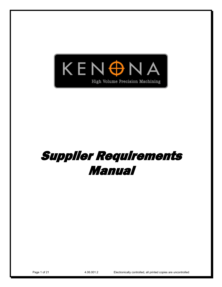

# Supplier Requirements Manual

Page 1 of 21 **4.06.001.2** Electronically controlled, all printed copies are uncontrolled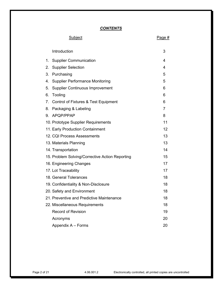# *CONTENTS*

|    | <u>Subject</u>                                  | Page #         |
|----|-------------------------------------------------|----------------|
|    | Introduction                                    | 3              |
| 1. | <b>Supplier Communication</b>                   | 4              |
| 2. | <b>Supplier Selection</b>                       | 4              |
| 3. | Purchasing                                      | 5              |
| 4. | <b>Supplier Performance Monitoring</b>          | 5              |
| 5. | <b>Supplier Continuous Improvement</b>          | 6              |
| 6. | Tooling                                         | 6              |
| 7. | Control of Fixtures & Test Equipment            | 6              |
| 8. | Packaging & Labeling                            | $\overline{7}$ |
| 9. | APQP/PPAP                                       | 8              |
|    | 10. Prototype Supplier Requirements             | 11             |
|    | 11. Early Production Containment                | 12             |
|    | 12. CQI Process Assessments                     | 13             |
|    | 13. Materials Planning                          | 13             |
|    | 14. Transportation                              | 14             |
|    | 15. Problem Solving/Corrective Action Reporting | 15             |
|    | 16. Engineering Changes                         | 17             |
|    | 17. Lot Traceability                            | 17             |
|    | 18. General Tolerances                          | 18             |
|    | 19. Confidentiality & Non-Disclosure            | 18             |
|    | 20. Safety and Environment                      | 18             |
|    | 21. Preventive and Predictive Maintenance       | 18             |
|    | 22. Miscellaneous Requirements                  | 18             |
|    | <b>Record of Revision</b>                       | 19             |
|    | Acronyms                                        | 20             |
|    | Appendix A - Forms                              | 20             |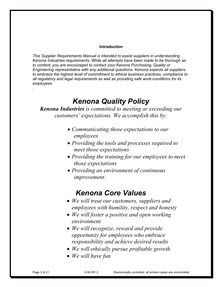# *Introduction*

*This Supplier Requirements Manual is intended to assist suppliers in understanding Kenona Industries requirements. While all attempts have been made to be thorough as to content, you are encouraged to contact your Kenona Purchasing, Quality or Engineering representative with any additional questions. Kenona expects all suppliers to embrace the highest level of commitment to ethical business practices, compliance to all regulatory and legal requirements as well as providing safe work-conditions for its employees* 

# *Kenona Quality Policy*

*Kenona Industries is committed to meeting or exceeding our customers' expectations. We accomplish this by:*

- *Communicating those expectations to our employees*
- *Providing the tools and processes required to meet those expectations*
- *Providing the training for our employees to meet those expectations*
- *Providing an environment of continuous improvement.*

# *Kenona Core Values*

- *We will treat our customers, suppliers and employees with humility, respect and honesty*
- *We will foster a positive and open working environment*
- *We will recognize, reward and provide opportunity for employees who embrace responsibility and achieve desired results*
- *We will ethically pursue profitable growth*
- *We will have fun*

*.*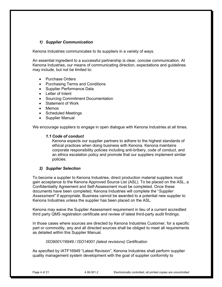# *1) Supplier Communication*

Kenona Industries communicates to its suppliers in a variety of ways.

An essential ingredient to a successful partnership is clear, concise communication. At Kenona Industries, our means of communicating direction, expectations and guidelines may include, but not be limited to:

- Purchase Orders
- Purchasing Terms and Conditions
- Supplier Performance Data
- Letter of Intent
- Sourcing Commitment Documentation
- Statement of Work
- Memos
- Scheduled Meetings
- Supplier Manual

We encourage suppliers to engage in open dialogue with Kenona Industries at all times.

# *1.1 Code of conduct*

Kenona expects our supplier partners to adhere to the highest standards of ethical practices when doing business with Kenona. Kenona maintains corporate responsibility policies including anti-bribery, code of conduct, and an ethics escalation policy and promote that our suppliers implement similar policies.

# *2) Supplier Selection*

To become a supplier to Kenona Industries, direct production material suppliers must gain acceptance to the Kenona Approved Source List (ASL). To be placed on the ASL, a Confidentiality Agreement and Self-Assessment must be completed. Once these documents have been completed, Kenona Industries will complete the "*Supplier Assessment"* if appropriate. Business cannot be awarded to a potential new supplier to Kenona Industries unless the supplier has been placed on the ASL.

Kenona may waive the Supplier Assessment requirement in lieu of a current accredited third party QMS registration certificate and review of latest third-party audit findings.

In those cases where sources are directed by Kenona Industries Customer, for a specific part or commodity, any and all directed sources shall be obliged to meet all requirements as detailed within this Supplier Manual.

# *ISO9001/16949 / ISO14001 (latest revisions) Certification*

As specified by IATF16949 "Latest Revision", Kenona Industries shall perform supplier quality management system development with the goal of supplier conformity to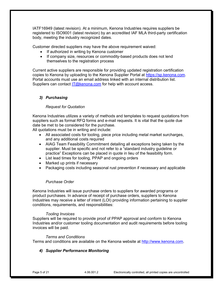IATF16949 (latest revision). At a minimum, Kenona Industries requires suppliers be registered to ISO9001 (latest revision) by an accredited IAF MLA third-party certification body, meeting the industry recognized dates.

Customer directed suppliers may have the above requirement waived:

- If authorized in writing by Kenona customer
- If company size, resources or commodity-based products does not lend themselves to the registration process

Current active suppliers are responsible for providing updated registration certification copies to Kenona by uploading to the Kenona Supplier Portal at [https://sp.kenona.com.](https://sp.kenona.com/Account/Login?ReturnUrl=%2F) Portal accounts must use an email address linked with an internal distribution list. Suppliers can contact  $IT@kenona.com$  for help with account access.

# *3) Purchasing*

#### *Request for Quotation*

Kenona Industries utilizes a variety of methods and templates to request quotations from suppliers such as formal RFQ forms and e-mail requests. It is vital that the quote due date be met to be considered for the purchase.

All quotations must be in writing and include:

- All associated costs for tooling, piece price including metal market surcharges, and any additional costs required
- AIAG Team Feasibility Commitment detailing all exceptions being taken by the supplier. Must be specific and not refer to a "standard industry guideline or practice" Exceptions can be placed in quote in lieu of the feasibility form.
- List lead times for tooling, PPAP and ongoing orders
- Marked up prints if necessary
- Packaging costs including seasonal rust prevention if necessary and applicable

# *Purchase Order*

Kenona Industries will issue purchase orders to suppliers for awarded programs or product purchases. In advance of receipt of purchase orders, suppliers to Kenona Industries may receive a letter of intent (LOI) providing information pertaining to supplier conditions, requirements, and responsibilities:

#### *Tooling Invoices*

Suppliers will be required to provide proof of PPAP approval and conform to Kenona Industries and/or customer tooling documentation and audit requirements before tooling invoices will be paid.

# *Terms and Conditions*

Terms and conditions are available on the Kenona website at [http://www.kenona.com.](http://www.kenona.com/)

# *4) Supplier Performance Monitoring*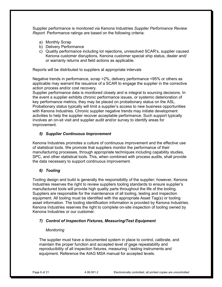Supplier performance is monitored via Kenona Industries *Supplier Performance Review Report*. Performance ratings are based on the following criteria:

- a) Monthly Scrap
- b) Delivery Performance
- c) Quality performance including lot rejections, unresolved SCAR's, supplier caused Kenona customer disruptions, Kenona customer special ship status, dealer and/ or warranty returns and field actions as applicable.

Reports will be distributed to suppliers at appropriate intervals

Negative trends in performance, scrap >2%, delivery performance <95% or others as applicable may warrant the issuance of a SCAR to engage the supplier in the corrective action process and/or cost recovery.

Supplier performance data is monitored closely and is integral to sourcing decisions. In the event a supplier exhibits chronic performance issues, or systemic deterioration of key performance metrics, they may be placed on probationary status on the ASL. Probationary status typically will limit a supplier's access to new business opportunities with Kenona Industries. Chronic supplier negative trends may initiate development activities to help the supplier recover acceptable performance. Such support typically involves an on-sit visit and supplier audit and/or survey to identify areas for improvement.

# *5) Supplier Continuous Improvement*

Kenona Industries promotes a culture of continuous improvement and the effective use of statistical tools. We promote that suppliers monitor the performance of their manufacturing processes, through appropriate techniques including capability studies, SPC, and other statistical tools. This, when combined with process audits, shall provide the data necessary to support continuous improvement.

# *6) Tooling*

Tooling design and build is generally the responsibility of the supplier; however, Kenona Industries reserves the right to review suppliers tooling standards to ensure supplier's manufactured tools will provide high quality parts throughout the life of the tooling. Suppliers are responsible for the maintenance of all tooling, testing and inspection equipment. All tooling must be identified with the appropriate Asset Tag(s) or tooling asset information. The tooling identification information is provided by Kenona Industries. Kenona Industries reserves the right to complete on-site inspection of tooling owned by Kenona Industries or our customer.

# *7) Control of Inspection Fixtures, Measuring/Test Equipment*

# *Monitoring*

The supplier must have a documented system in place to control, calibrate, and maintain the proper function and accepted level of gage repeatability and reproducibility of all inspection fixtures, measuring / testing instruments and equipment. Reference the AIAG MSA manual for accepted levels.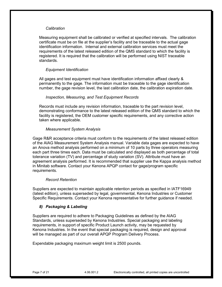#### *Calibration*

Measuring equipment shall be calibrated or verified at specified intervals. The calibration certificate must be on file at the supplier's facility and be traceable to the actual gage identification information. Internal and external calibration services must meet the requirements of the latest released edition of the QMS standard to which the facility is registered. It is required that the calibration will be performed using NIST traceable standards.

# *Equipment Identification*

All gages and test equipment must have identification information affixed clearly & permanently to the gage. The information must be traceable to the gage identification number, the gage revision level, the last calibration date, the calibration expiration date.

# *Inspection, Measuring, and Test Equipment Records*

Records must include any revision information, traceable to the part revision level, demonstrating conformance to the latest released edition of the QMS standard to which the facility is registered, the OEM customer specific requirements, and any corrective action taken where applicable.

# *Measurement System Analysis*

Gage R&R acceptance criteria must conform to the requirements of the latest released edition of the AIAG Measurement System Analysis manual. Variable data gages are expected to have an Anova method analysis performed on a minimum of 10 parts by three operators measuring each part three times each. Data must be calculated and displayed as both percentage of total tolerance variation (TV) and percentage of study variation (SV). Attribute must have an agreement analysis performed. It is recommended that supplier use the Kappa analysis method in Minitab software. Contact your Kenona APQP contact for gage/program specific requirements.

# *Record Retention*

Suppliers are expected to maintain applicable retention periods as specified in IATF16949 (latest edition), unless superseded by legal, governmental, Kenona Industries or Customer Specific Requirements. Contact your Kenona representative for further guidance if needed.

# *8) Packaging & Labeling*

Suppliers are required to adhere to Packaging Guidelines as defined by the AIAG Standards, unless superseded by Kenona Industries. Special packaging and labeling requirements, in support of specific Product Launch activity, may be requested by Kenona Industries. In the event that special packaging is required, design and approval will be managed as part of our overall APQP Program Delivery Process.

Expendable packaging maximum weight limit is 2500 pounds.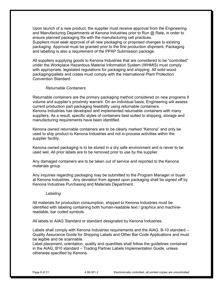Upon launch of a new product, the supplier must receive approval from the Engineering and Manufacturing Departments at Kenona Industries prior to Run @ Rate, in order to ensure planned packaging fits with the manufacturing cell practices. Suppliers must seek approval of all new packaging or proposed changes to existing packaging. Approval must be granted prior to the first production shipment. Packaging and labelling is also a requirement of the PPAP Submission package.

All suppliers supplying goods to Kenona Industries that are considered to be "controlled" under the Workplace Hazardous Material Information System (WHMIS) must comply with appropriate, legislated regulations for packaging and shipping. All solid wood packaging/pallets and crates must comply with the International Plant Protection Convention Standard.

#### *Returnable Containers*

Returnable containers are the primary packaging method considered on new programs if volume and supplier's proximity warrant. On an individual basis, Engineering will assess current production part packaging feasibility using returnable containers. Kenona Industries has developed and implemented returnable containers with many suppliers. As a result, specific styles of containers best suited to shipping, storage and manufacturing requirements have been identified.

Kenona owned returnable containers are to be clearly marked "Kenona" and only be used to ship product to Kenona Industries and not in-process activities within the supplier facility.

Kenona owned packaging is to be stored in a dry safe environment and is never to be used wet. All prior labels are to be removed prior to use by the supplier.

Any damaged containers are to be taken out of service and reported to the Kenona materials group

Any inquiries regarding packaging may be submitted to the Program Manager or buyer at Kenona Industries. Any deviation from agreed upon packaging shall be signed off by Kenona Industries Purchasing and Materials Department.

#### *Labeling*

All materials for production consumption, shipped to Kenona Industries must be identified with labeling containing both human-readable text / graphics and machinereadable, bar coded symbols.

All labels to AIAG Standard or standard designated by Kenona Industries.

Labels shall comply with Kenona Industries requirements and the AIAG, B-10 standard – Quality Assurance Guide for Shipping Labels and Other Bar Code Applications and must be legible and be scannable.

Label placement, orientation, quality and quantities shall follow the guidelines contained in the AIAG, B10 standard – Trading Partner Labels Implementation Guide, unless otherwise specified by Kenona.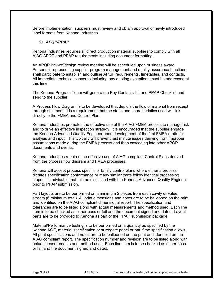Before implementation, suppliers must review and obtain approval of newly introduced label formats from Kenona Industries.

# *9) APQP/PPAP*

Kenona Industries requires all direct production material suppliers to comply with all AIAG APQP and PPAP requirements including document formatting.

An APQP kick-off/design review meeting will be scheduled upon business award. Personnel representing supplier program management and quality assurance functions shall participate to establish and outline APQP requirements, timetables, and contacts. All immediate technical concerns including any quoting exceptions must be addressed at this time.

The Kenona Program Team will generate a Key Contacts list and PPAP Checklist and send to the supplier.

A Process Flow Diagram is to be developed that depicts the flow of material from receipt through shipment. It is a requirement that the steps and characteristics used will link directly to the FMEA and Control Plan.

Kenona Industries promotes the effective use of the AIAG FMEA process to manage risk and to drive an effective inspection strategy. It is encouraged that the supplier engage the Kenona Advanced Quality Engineer upon development of the first FMEA drafts for analysis and input. This typically will prevent last minute issues deriving from improper assumptions made during the FMEA process and then cascading into other APQP documents and events.

Kenona Industries requires the effective use of AIAG compliant Control Plans derived from the process flow diagram and FMEA processes.

Kenona will accept process specific or family control plans where either a process dictates specification conformance or many similar parts follow identical processing steps. It is advisable that this be discussed with the Kenona Advanced Quality Engineer prior to PPAP submission.

Part layouts are to be performed on a minimum 2 pieces from each cavity or value stream (6 minimum total). All print dimensions and notes are to be ballooned on the print and identified on the AIAG compliant dimensional report. The specification and tolerances are to be listed along with actual measurements and method used. Each line item is to be checked as either pass or fail and the document signed and dated. Layout parts are to be provided to Kenona as part of the PPAP submission package.

Material/Performance testing is to be performed on a quantity as specified by the Kenona AQE, material specification or surrogate panel or bar if the specification allows. All print specifications and notes are to be ballooned on the print and identified on the AIAG compliant report. The specification number and revision are to be listed along with actual measurements and method used. Each line item is to be checked as either pass or fail and the document signed and dated.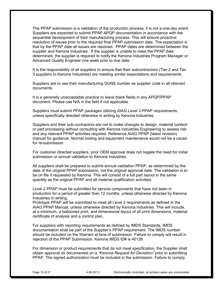The PPAP submission is a validation of the production process; it is not a one-day event. Suppliers are expected to submit PPAP APQP documentation in accordance with the sequential development of their manufacturing process. This will ensure proactive resolution of issues prior to the required final PPAP submission date. The expectation is that by the PPAP date all issues are resolved. PPAP dates are determined between the supplier and Kenona Industries. If the supplier is unable to meet the PPAP date determined, the supplier is required to notify the Kenona Industries Program Manager or Advanced Quality Engineer one week prior to due date.

It is the responsibility of all suppliers to ensure that their subcontractors (Tier 2 and Tier 3 suppliers to Kenona Industries) are meeting similar expectations and requirements.

Suppliers are to use their manufacturing DUNS number as supplier code in all relevant documents.

It is a generally unacceptable practice to leave blank fields in any APQP/PPAP document. Please use N/A in the field if not applicable.

Suppliers must submit PPAP packages utilizing AIAG Level 3 PPAP requirements, unless specifically directed otherwise in writing by Kenona Industries.

Suppliers and their sub-contractors are not to make changes to design, material content or part processing without consulting with Kenona Industries Engineering to assess risk and any relevant PPAP activities required. Reference AIAG PPAP (latest revision) manual for guidance. Normal tooling and equipment maintenance would not be a cause for re-submission.

For customer directed suppliers, prior OEM approval does not negate the need for initial submission or annual validation to Kenona Industries.

All suppliers shall be prepared to submit annual validation PPAP, as determined by the date of the original PPAP submission, not the original approval date. The validation is to be on file if requested by Kenona. This will consist of a full part layout in the same quantity as the original PPAP and all material qualification activities.

Level 2 PPAP must be submitted for service components that have not been in production for a period of greater than 12 months, unless otherwise directed by Kenona Industries in writing.

Prototype PPAP will be submitted to meet all Level 2 requirements as defined in the AIAG PPAP Manual, unless otherwise directed by Kenona Industries. This will include, at a minimum, a ballooned print, and dimensional layout of all print dimensions, material certificate of analysis and a control plan.

For suppliers with reporting requirements as defined by IMDS Standards, IMDS documentation shall be part of the Supplier's PPAP requirement. The IMDS number should be included on the Warrant at time of submission. Failure to comply will result in rejection of the PPAP Submission. Kenona IMDS ID# is 40126

For dimension or product requirements that do not meet specification, the Supplier shall obtain approval as documented on a *"Kenona Request for Deviation"* prior to submitting PPAP. The signed authorization must be included in the submission. Failure to comply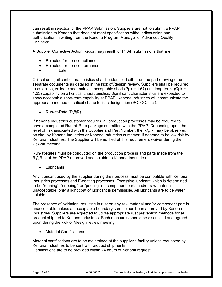can result in rejection of the PPAP Submission. Suppliers are not to submit a PPAP submission to Kenona that does not meet specification without discussion and authorization in writing from the Kenona Program Manager or Advanced Quality Engineer.

A Supplier Corrective Action Report may result for PPAP submissions that are:

- Rejected for non-compliance
- Rejected for non-conformance
	- Late

Critical or significant characteristics shall be identified either on the part drawing or on separate documents as detailed in the kick off/design review. Suppliers shall be required to establish, validate and maintain acceptable short (Ppk > 1.67) and long-term (Cpk > 1.33) capability on all critical characteristics. Significant characteristics are expected to show acceptable short-term capability at PPAP. Kenona Industries will communicate the appropriate method of critical characteristic designation (SC, CC, etc.).

• Run-at-Rate (R@R)

If Kenona Industries customer requires, all production processes may be required to have a completed Run-at-Rate package submitted with the PPAP. Depending upon the level of risk associated with the Supplier and Part Number, the  $R@R$  may be observed on site, by Kenona Industries or Kenona Industries customer. If deemed to be low risk by Kenona Industries. The Supplier will be notified of this requirement waiver during the kick-off meeting.

Run-at-Rates must be conducted on the production process and parts made from the [R@R](mailto:R@R) shall be PPAP approved and salable to Kenona Industries.

**Lubricants** 

Any lubricant used by the supplier during their process must be compatible with Kenona Industries processes and E-coating processes. Excessive lubricant which is determined to be "running", "dripping", or "pooling" on component parts and/or raw material is unacceptable, only a light coat of lubricant is permissible. All lubricants are to be water soluble.

The presence of oxidation, resulting in rust on any raw material and/or component part is unacceptable unless an acceptable boundary sample has been approved by Kenona Industries. Suppliers are expected to utilize appropriate rust prevention methods for all product shipped to Kenona Industries. Such measures should be discussed and agreed upon during the kick off/design review meeting.

**Material Certifications** 

Material certifications are to be maintained at the supplier's facility unless requested by Kenona Industries to be sent with product shipments. Certifications are to be provided within 24 hours of Kenona request.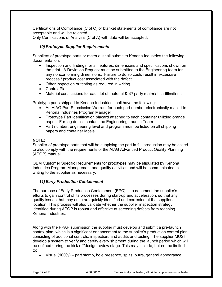Certifications of Compliance (C of C) or blanket statements of compliance are not acceptable and will be rejected.

Only Certifications of Analysis (C of A) with data will be accepted.

# *10) Prototype Supplier Requirements*

Suppliers of prototype parts or material shall submit to Kenona Industries the following documentation:

- Inspection and findings for all features, dimensions and specifications shown on the print. A Deviation Request must be submitted to the Engineering team for any nonconforming dimensions. Failure to do so could result in excessive process / product cost associated with the defect
- Other inspection or testing as required in writing
- Control Plan
- Material certifications for each lot of material  $\& 3<sup>rd</sup>$  party material certifications

Prototype parts shipped to Kenona Industries shall have the following:

- An AIAG Part Submission Warrant for each part number electronically mailed to Kenona Industries Program Manager
- Prototype Part Identification placard attached to each container utilizing orange paper. For tag details contact the Engineering Launch Team
- Part number, engineering level and program must be listed on all shipping papers and container labels

# **NOTE:**

Supplier of prototype parts that will be supplying the part in full production may be asked to also comply with the requirements of the AIAG Advanced Product Quality Planning (APQP) manual.

OEM Customer Specific Requirements for prototypes may be stipulated by Kenona Industries Program Management and quality activities and will be communicated in writing to the supplier as necessary.

# *11) Early Production Containment*

The purpose of Early Production Containment (EPC) is to document the supplier's efforts to gain control of its processes during start-up and acceleration, so that any quality issues that may arise are quickly identified and corrected at the supplier's location. This process will also validate whether the supplier inspection strategy identified during APQP is robust and effective at screening defects from reaching Kenona Industries.

Along with the PPAP submission the supplier must develop and submit a pre-launch control plan, which is a significant enhancement to the supplier's production control plan, consisting of additional controls, inspection, and audits and testing. The supplier MUST develop a system to verify and certify every shipment during the launch period which will be defined during the kick off/design review stage. This may include, but not be limited to:

• Visual (100%) – part stamp, hole presence, splits, burrs, general appearance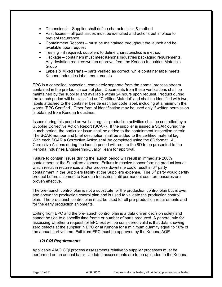- Dimensional Supplier shall define characteristics & method
- Past Issues all past issues must be identified and actions put in place to prevent recurrence
- Containment Records must be maintained throughout the launch and be available upon request
- Testing if required, suppliers to define characteristics & method
- Package containers must meet Kenona Industries packaging requirements. Any deviation requires written approval from the Kenona Industries Materials Group
- Labels & Mixed Parts parts verified as correct, while container label meets Kenona Industries label requirements

EPC is a controlled inspection, completely separate from the normal process stream contained in the pre-launch control plan. Documents from these verifications shall be maintained by the supplier and available within 24 hours upon request. Product during the launch period will be classified as "Certified Material" and shall be identified with two labels attached to the container beside each bar code label, including at a minimum the words "EPC Certified". Other form of identification may be used only if written permission is obtained from Kenona Industries.

Issues during this period as well as regular production activities shall be controlled by a Supplier Corrective Action Report (SCAR). If the supplier is issued a SCAR during the launch period, the particular issue shall be added to the containment inspection criteria. The SCAR number and brief description shall be added to the certified material tag. With each SCAR a Corrective Action shall be completed using the 8D format. All Corrective Actions during the launch period will require the 8D to be presented to the Kenona Industries Engineering/Quality Team for approval.

Failure to contain issues during the launch period will result in immediate 200% containment at the Suppliers expense. Failure to resolve nonconforming product issues which result in recurrences and/or process downtime could result in  $3<sup>rd</sup>$  party containment in the Suppliers facility at the Suppliers expense. The  $3<sup>rd</sup>$  party would certify product before shipment to Kenona Industries until permanent countermeasures are proven effective.

The pre-launch control plan is not a substitute for the production control plan but is over and above the production control plan and is used to validate the production control plan. The pre-launch control plan must be used for all pre-production requirements and for the early production shipments.

Exiting from EPC and the pre-launch control plan is a data driven decision solely and cannot be tied to a specific time frame or number of parts produced. A general rule for assessing whether a request for EPC exit will be considered valid is that data showing zero defects at the supplier in EPC or at Kenona for a minimum quantity equal to 10% of the annual part volume. Exit from EPC must be approved by the Kenona AQE.

# *12) CQI Requirements*

Applicable AIAG CQI process assessments relative to supplier processes must be performed on an annual basis. Updated assessments are to be uploaded to the Kenona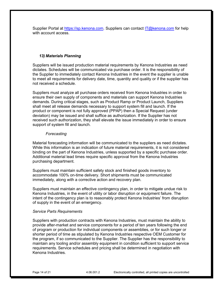Supplier Portal at [https://sp.kenona.com.](https://sp.kenona.com/Account/Login?ReturnUrl=%2F) Suppliers can contact [IT@kenona.com](mailto:IT@kenona.com) for help with account access.

# *13) Materials Planning*

Suppliers will be issued production material requirements by Kenona Industries as need dictates. Schedules will be communicated via purchase order. It is the responsibility of the Supplier to immediately contact Kenona Industries in the event the supplier is unable to meet all requirements for delivery date, time, quantity and quality or if the supplier has not received a schedule.

Suppliers must analyze all purchase orders received from Kenona Industries in order to ensure their own supply of components and materials can support Kenona Industries demands. During critical stages, such as Product Ramp or Product Launch, Suppliers shall meet all release demands necessary to support system fill and launch. If the product or component is not fully approved (PPAP) then a Special Request (under deviation) may be issued and shall suffice as authorization. If the Supplier has not received such authorization, they shall elevate the issue immediately in order to ensure support of system fill and launch.

#### *Forecasting*

Material forecasting information will be communicated to the suppliers as need dictates. While this information is an indication of future material requirements, it is not considered binding on the part of Kenona Industries, unless supported by a specific purchase order. Additional material lead times require specific approval from the Kenona Industries purchasing department.

Suppliers must maintain sufficient safety stock and finished goods inventory to accommodate 100% on-time delivery. Short shipments must be communicated immediately, along with a corrective action and recovery plan.

Suppliers must maintain an effective contingency plan, in order to mitigate undue risk to Kenona Industries, in the event of utility or labor disruption or equipment failure. The intent of the contingency plan is to reasonably protect Kenona Industries' from disruption of supply in the event of an emergency.

#### *Service Parts Requirements*

Suppliers with production contracts with Kenona Industries, must maintain the ability to provide after-market and service components for a period of ten years following the end of program or production for individual components or assemblies, or for such longer or shorter period of time as stipulated by Kenona Industries respective OEM Customer for the program, if so communicated to the Supplier. The Supplier has the responsibility to maintain any tooling and/or assembly equipment in condition sufficient to support service requirements. Service schedules and pricing shall be determined in negotiation with Kenona Industries.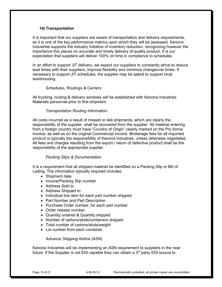# *14) Transportation*

It is important that our suppliers are aware of transportation and delivery requirements, as it is one of the key performance metrics upon which they will be assessed. Kenona Industries supports the industry initiative of inventory reduction, recognizing however the importance this places on accurate and timely delivery of quality product. It is our expectation that suppliers will deliver 100% on time in compliance to schedules.

In an effort to support JIT delivery, we expect our suppliers to constantly strive to reduce lead times with their suppliers, improve flexibility and minimize changeover times. If necessary to support JIT schedules, the supplier may be asked to support local warehousing.

# *Schedules, Routings & Carriers*

All trucking, routing & delivery windows will be established with Kenona Industries Materials personnel prior to first shipment.

# *Transportation Routing Information*

All costs incurred as a result of missed or late shipments, which are clearly the responsibility of the supplier, shall be recovered from the supplier. All material entering from a foreign country must have "Country of Origin" clearly marked on the Pro forma Invoice, as well as on the original Commercial Invoice. Brokerage fees for all imported product is typically the responsibility of Kenona Industries, unless otherwise negotiated. All fees and charges resulting from the export / return of defective product shall be the responsibility of the appropriate supplier.

# *Packing Slips & Documentation*

It is a requirement that all shipped material be identified on a Packing Slip or Bill of Lading. The information typically required includes:

- Shipment date
- Invoice/Packing Slip number
- Address Sold to
- Address Shipped to
- Individual line item for each part number shipped
- Part Number and Part Description
- Purchase Order number, for each part number
- Order release number
- Quantity ordered & Quantity shipped
- Number of cartons/skids/containers shipped
- Total number of cartons/skids/weight
- Lot number from each container

# *Advance Shipping Notice (ASN)*

Kenona Industries will be implementing an ASN requirement to suppliers in the near future. If the Supplier is not EDI capable they can obtain a  $3<sup>rd</sup>$  party EDI source to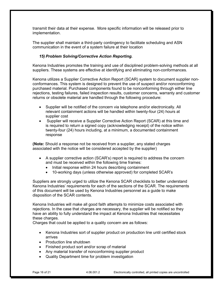transmit their data at their expense. More specific information will be released prior to implementation.

The supplier shall maintain a third-party contingency to facilitate scheduling and ASN communication in the event of a system failure at their location

# *15) Problem Solving/Corrective Action Reporting.*

Kenona Industries promotes the training and use of disciplined problem-solving methods at all suppliers. These systems are effective at identifying and eliminating non-conformances.

Kenona utilizes a Supplier Corrective Action Report (SCAR) system to document supplier nonconformances. This system is designed to prevent the use of suspect and/or nonconforming purchased material. Purchased components found to be nonconforming through either line rejections, testing failures, failed inspection results, customer concerns, warranty and customer returns or obsolete material are handled through the following procedure:

- Supplier will be notified of the concern via telephone and/or electronically. All relevant containment actions will be handled within twenty-four (24) hours at supplier cost
- Supplier will receive a Supplier Corrective Action Report (SCAR) at this time and is required to return a signed copy (acknowledging receipt) of the notice within twenty-four (24) hours including, at a minimum, a documented containment response

**(Note:** Should a response not be received from a supplier, any stated charges associated with the notice will be considered accepted by the supplier)

- A supplier corrective action (SCAR's) report is required to address the concern and must be received within the following time frames:
	- Initial response within 24 hours describing containment
	- 10-working days (unless otherwise approved) for completed SCAR's

Suppliers are strongly urged to utilize the Kenona SCAR checklists to better understand Kenona Industries' requirements for each of the sections of the SCAR. The requirements of this document will be used by Kenona Industries personnel as a guide to make disposition of the SCAR contents.

Kenona Industries will make all good faith attempts to minimize costs associated with rejections. In the case that charges are necessary, the supplier will be notified so they have an ability to fully understand the impact at Kenona Industries that necessitates these charges.

Charges that could be applied to a quality concern are as follows:

- Kenona Industries sort of supplier product on production line until certified stock arrives
- Production line shutdown
- Finished product sort and/or scrap of material
- Any material transfer of nonconforming supplier product
- Quality Department time for problem investigation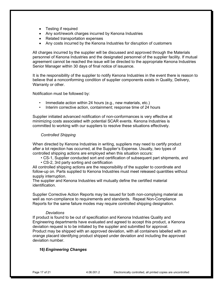- Testing if required
- Any sort/rework charges incurred by Kenona Industries
- Related transportation expenses
- Any costs incurred by the Kenona Industries for disruption of customers

All charges incurred by the supplier will be discussed and approved through the Materials personnel of Kenona Industries and the designated personnel of the supplier facility. If mutual agreement cannot be reached the issue will be directed to the appropriate Kenona Industries Senior Manager within 30 days of final notice of issuance.

It is the responsibility of the supplier to notify Kenona Industries in the event there is reason to believe that a nonconforming condition of supplier components exists in Quality, Delivery, Warranty or other.

Notification must be followed by:

- Immediate action within 24 hours (e.g., new materials, etc.)
- Interim corrective action, containment; response time of 24 hours

Supplier initiated advanced notification of non-conformances is very effective at minimizing costs associated with potential SCAR events. Kenona Industries is committed to working with our suppliers to resolve these situations effectively.

# *Controlled Shipping*

When directed by Kenona Industries in writing, suppliers may need to certify product after a lot rejection has occurred, at the Supplier's Expense. Usually, two types of controlled shipping actions are employed when this situation occurs:

- CS-1, Supplier conducted sort and certification of subsequent part shipments, and
- CS-2, 3rd party sorting and certification

All controlled shipping actions are the responsibility of the supplier to coordinate and follow-up on. Parts supplied to Kenona Industries must meet released quantities without supply interruption.

The supplier and Kenona Industries will mutually define the certified material identification.

Supplier Corrective Action Reports may be issued for both non-complying material as well as non-compliance to requirements and standards. Repeat Non-Compliance Reports for the same failure modes may require controlled shipping designation.

#### *Deviations*

If product is found to be out of specification and Kenona Industries Quality and Engineering departments have evaluated and agreed to accept this product, a Kenona deviation request is to be initiated by the supplier and submitted for approval. Product may be shipped with an approved deviation, with all containers labelled with an orange placard identifying product shipped under deviation and including the approved deviation number.

# *16) Engineering Changes*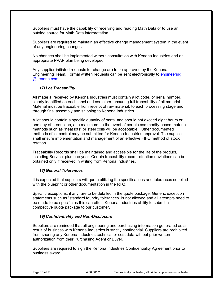Suppliers must have the capability of receiving and reading Math Data or to use an outside source for Math Data interpretation.

Suppliers are required to maintain an effective change management system in the event of any engineering changes.

No changes shall be implemented without consultation with Kenona Industries and an appropriate PPAP plan being developed.

Any supplier-initiated requests for change are to be approved by the Kenona Engineering Team. Formal written requests can be sent electronically to [engineering](mailto:engineering%20@kenona.com)  [@kenona.com](mailto:engineering%20@kenona.com)

# *17) Lot Traceability*

All material received by Kenona Industries must contain a lot code, or serial number, clearly identified on each label and container, ensuring full traceability of all material. Material must be traceable from receipt of raw material, to each processing stage and through final assembly and shipping to Kenona Industries.

A lot should contain a specific quantity of parts, and should not exceed eight hours or one day of production, at a maximum. In the event of certain commodity-based material, methods such as "heat lots" or steel coils will be acceptable. Other documented methods of lot control may be submitted for Kenona Industries approval. The supplier shall ensure implementation and management of an effective FIFO method of stock rotation.

Traceability Records shall be maintained and accessible for the life of the product, including Service, plus one year. Certain traceability record retention deviations can be obtained only if received in writing from Kenona Industries.

# *18) General Tolerances*

It is expected that suppliers will quote utilizing the specifications and tolerances supplied with the blueprint or other documentation in the RFQ.

Specific exceptions, if any, are to be detailed in the quote package. Generic exception statements such as "standard foundry tolerances" is not allowed and all attempts need to be made to be specific as this can effect Kenona Industries ability to submit a competitive quote package to our customer.

# *19) Confidentiality and Non-Disclosure*

Suppliers are reminded that all engineering and purchasing information generated as a result of business with Kenona Industries is strictly confidential. Suppliers are prohibited from sharing any Kenona Industries technical or cost data without prior written authorization from their Purchasing Agent or Buyer.

Suppliers are required to sign the Kenona Industries Confidentiality Agreement prior to business award.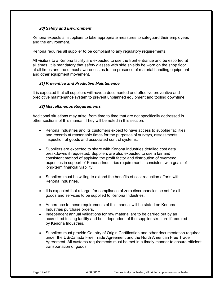# *20) Safety and Environment*

Kenona expects all suppliers to take appropriate measures to safeguard their employees and the environment.

Kenona requires all supplier to be compliant to any regulatory requirements.

All visitors to a Kenona facility are expected to use the front entrance and be escorted at all times. It is mandatory that safety glasses with side shields be worn on the shop floor at all times and the utmost awareness as to the presence of material handling equipment and other equipment movement.

# *21) Preventive and Predictive Maintenance*

It is expected that all suppliers will have a documented and effective preventive and predictive maintenance system to prevent unplanned equipment and tooling downtime.

# *22) Miscellaneous Requirements*

Additional situations may arise, from time to time that are not specifically addressed in other sections of this manual. They will be noted in this section.

- Kenona Industries and its customers expect to have access to supplier facilities and records at reasonable times for the purposes of surveys, assessments, inspection of goods and associated control systems.
- Suppliers are expected to share with Kenona Industries detailed cost data breakdowns if requested. Suppliers are also expected to use a fair and consistent method of applying the profit factor and distribution of overhead expenses in support of Kenona Industries requirements, consistent with goals of long-term financial viability.
- Suppliers must be willing to extend the benefits of cost reduction efforts with Kenona Industries.
- It is expected that a target for compliance of zero discrepancies be set for all goods and services to be supplied to Kenona Industries.
- Adherence to these requirements of this manual will be stated on Kenona Industries purchase orders.
- Independent annual validations for raw material are to be carried out by an accredited testing facility and be independent of the supplier structure if required by Kenona Industries.
- Suppliers must provide Country of Origin Certification and other documentation required under the US/Canada Free Trade Agreement and the North American Free Trade Agreement. All customs requirements must be met in a timely manner to ensure efficient transportation of goods.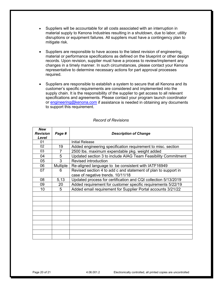- Suppliers will be accountable for all costs associated with an interruption in material supply to Kenona Industries resulting in a shutdown, due to labor, utility disruptions or equipment failures. All suppliers must have a contingency plan to mitigate risk.
- Suppliers are responsible to have access to the latest revision of engineering, material or performance specifications as defined on the blueprint or other design records. Upon revision, supplier must have a process to review/implement any changes in a timely manner. In such circumstances, please contact your Kenona representative to determine necessary actions for part approval processes required.
- Suppliers are responsible to establish a system to secure that all Kenona and its customer's specific requirements are considered and implemented into the supply chain. It is the responsibility of the supplier to get access to all relevant specifications and agreements. Please contact your program launch coordinator or [engineering@kenona.com](mailto:engineering@kenona.com) if assistance is needed in obtaining any documents to support this requirement.

| New<br><b>Revision</b> |          |                                                                |
|------------------------|----------|----------------------------------------------------------------|
| Level                  | Page #   | <b>Description of Change</b>                                   |
| 01                     |          | <b>Initial Release</b>                                         |
| 02                     | 19       | Added engineering specification requirement to misc. section   |
| 03                     |          | 2500 lbs. maximum expendable pkg. weight added                 |
| 04                     | 5        | Updated section 3 to include AIAG Team Feasibility Commitment  |
| 05                     | 3        | Revised introduction                                           |
| 06                     | Multiple | Re-aligned language to be consistent with IATF16949            |
| 07                     | 6        | Revised section 4 to add c and statement of plan to support in |
|                        |          | case of negative trends. 10/11/18                              |
| 08                     | 5,13     | Updated process for certification and CQI collection 5/13/2019 |
| 09                     | 20       | Added requirement for customer specific requirements 5/22/19   |
| 10                     | 5        | Added email requirement for Supplier Portal accounts 3/21/22   |
|                        |          |                                                                |
|                        |          |                                                                |
|                        |          |                                                                |
|                        |          |                                                                |
|                        |          |                                                                |
|                        |          |                                                                |
|                        |          |                                                                |
|                        |          |                                                                |
|                        |          |                                                                |
|                        |          |                                                                |

#### *Record of Revisions*